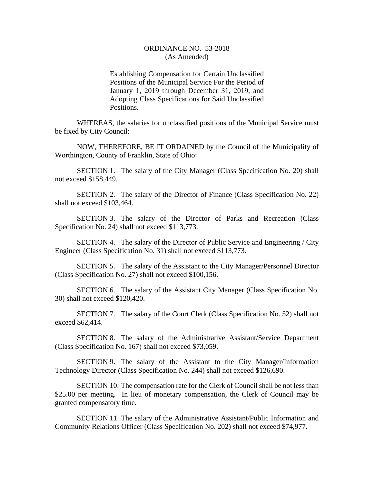## ORDINANCE NO. 53-2018 (As Amended)

Establishing Compensation for Certain Unclassified Positions of the Municipal Service For the Period of January 1, 2019 through December 31, 2019, and Adopting Class Specifications for Said Unclassified Positions.

WHEREAS, the salaries for unclassified positions of the Municipal Service must be fixed by City Council;

NOW, THEREFORE, BE IT ORDAINED by the Council of the Municipality of Worthington, County of Franklin, State of Ohio:

SECTION 1. The salary of the City Manager (Class Specification No. 20) shall not exceed \$158,449.

SECTION 2. The salary of the Director of Finance (Class Specification No. 22) shall not exceed \$103,464.

SECTION 3. The salary of the Director of Parks and Recreation (Class Specification No. 24) shall not exceed \$113,773.

SECTION 4. The salary of the Director of Public Service and Engineering / City Engineer (Class Specification No. 31) shall not exceed \$113,773.

SECTION 5. The salary of the Assistant to the City Manager/Personnel Director (Class Specification No. 27) shall not exceed \$100,156.

SECTION 6. The salary of the Assistant City Manager (Class Specification No. 30) shall not exceed \$120,420.

SECTION 7. The salary of the Court Clerk (Class Specification No. 52) shall not exceed \$62,414.

SECTION 8. The salary of the Administrative Assistant/Service Department (Class Specification No. 167) shall not exceed \$73,059.

SECTION 9. The salary of the Assistant to the City Manager/Information Technology Director (Class Specification No. 244) shall not exceed \$126,690.

SECTION 10. The compensation rate for the Clerk of Council shall be not less than \$25.00 per meeting. In lieu of monetary compensation, the Clerk of Council may be granted compensatory time.

SECTION 11. The salary of the Administrative Assistant/Public Information and Community Relations Officer (Class Specification No. 202) shall not exceed \$74,977.